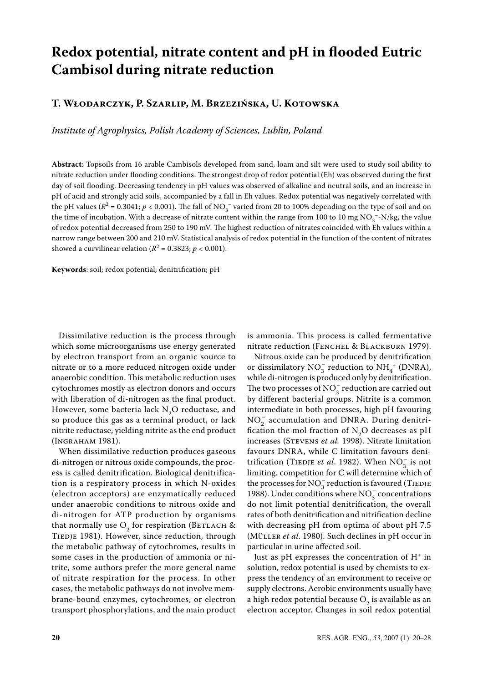# **Redox potential, nitrate content and pH in flooded Eutric Cambisol during nitrate reduction**

# **T. Włodarczyk, P. Szarlip, M. Brzezińska, U. Kotowska**

*Institute of Agrophysics, Polish Academy of Sciences, Lublin, Poland*

**Abstract**: Topsoils from 16 arable Cambisols developed from sand, loam and silt were used to study soil ability to nitrate reduction under flooding conditions. The strongest drop of redox potential (Eh) was observed during the first day of soil flooding. Decreasing tendency in pH values was observed of alkaline and neutral soils, and an increase in pH of acid and strongly acid soils, accompanied by a fall in Eh values. Redox potential was negatively correlated with the pH values ( $R^2$  = 0.3041;  $p < 0.001$ ). The fall of NO<sub>3</sub><sup>-</sup> varied from 20 to 100% depending on the type of soil and on the time of incubation. With a decrease of nitrate content within the range from 100 to 10 mg NO<sub>3</sub><sup>-</sup>-N/kg, the value of redox potential decreased from 250 to 190 mV. The highest reduction of nitrates coincided with Eh values within a narrow range between 200 and 210 mV. Statistical analysis of redox potential in the function of the content of nitrates showed a curvilinear relation ( $R^2 = 0.3823; p < 0.001$ ).

**Keywords**: soil; redox potential; denitrification; pH

Dissimilative reduction is the process through which some microorganisms use energy generated by electron transport from an organic source to nitrate or to a more reduced nitrogen oxide under anaerobic condition. This metabolic reduction uses cytochromes mostly as electron donors and occurs with liberation of di-nitrogen as the final product. However, some bacteria lack  $N_2O$  reductase, and so produce this gas as a terminal product, or lack nitrite reductase, yielding nitrite as the end product (Ingraham 1981).

When dissimilative reduction produces gaseous di-nitrogen or nitrous oxide compounds, the process is called denitrification. Biological denitrification is a respiratory process in which N-oxides (electron acceptors) are enzymatically reduced under anaerobic conditions to nitrous oxide and di-nitrogen for ATP production by organisms that normally use  $O_2$  for respiration (BETLACH & TIEDJE 1981). However, since reduction, through the metabolic pathway of cytochromes, results in some cases in the production of ammonia or nitrite, some authors prefer the more general name of nitrate respiration for the process. In other cases, the metabolic pathways do not involve membrane-bound enzymes, cytochromes, or electron transport phosphorylations, and the main product

is ammonia. This process is called fermentative nitrate reduction (FENCHEL & BLACKBURN 1979).

Nitrous oxide can be produced by denitrification or dissimilatory  $NO_3^-$  reduction to  $NH_4^+$  (DNRA), while di-nitrogen is produced only by denitrification. The two processes of  $NO_3^-$  reduction are carried out by different bacterial groups. Nitrite is a common intermediate in both processes, high pH favouring NO<sub>2</sub> accumulation and DNRA. During denitrification the mol fraction of  $N_2O$  decreases as pH increases (Stevens *et al.* 1998). Nitrate limitation favours DNRA, while C limitation favours denitrification (TIEDJE *et al.* 1982). When  $NO_3^-$  is not limiting, competition for C will determine which of the processes for  $\text{NO}_3^-$  reduction is favoured (TIEDJE 1988). Under conditions where  $NO_3^-$  concentrations do not limit potential denitrification, the overall rates of both denitrification and nitrification decline with decreasing pH from optima of about pH 7.5 (Müller *et al*. 1980). Such declines in pH occur in particular in urine affected soil.

Just as pH expresses the concentration of  $H^+$  in solution, redox potential is used by chemists to express the tendency of an environment to receive or supply electrons. Aerobic environments usually have a high redox potential because  $O_2$  is available as an electron acceptor. Changes in soil redox potential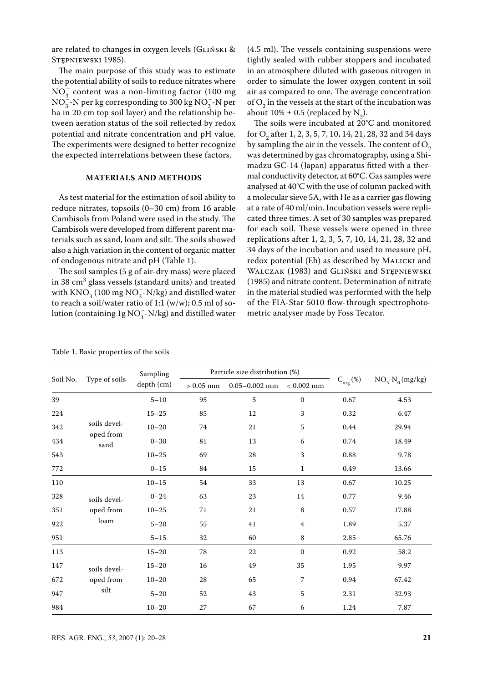are related to changes in oxygen levels (Gliński & STEPNIEWSKI 1985).

The main purpose of this study was to estimate the potential ability of soils to reduce nitrates where  $NO<sub>3</sub><sup>-</sup>$  content was a non-limiting factor (100 mg)  $NO_3^-$ -N per kg corresponding to 300 kg  $NO_3^-$ -N per ha in 20 cm top soil layer) and the relationship between aeration status of the soil reflected by redox potential and nitrate concentration and pH value. The experiments were designed to better recognize the expected interrelations between these factors.

#### **Materials and methods**

As test material for the estimation of soil ability to reduce nitrates, topsoils (0–30 cm) from 16 arable Cambisols from Poland were used in the study. The Cambisols were developed from different parent materials such as sand, loam and silt. The soils showed also a high variation in the content of organic matter of endogenous nitrate and pH (Table 1).

The soil samples (5 g of air-dry mass) were placed in 38  $\mathrm{cm}^3$  glass vessels (standard units) and treated with  $\mathrm{KNO}_3^{\vphantom{3}}(100\:\mathrm{mg}\:\mathrm{NO}_3^{\vphantom{3}}\textrm{-N/kg})$  and distilled water to reach a soil/water ratio of 1:1 (w/w); 0.5 ml of solution (containing  $1g\, \mathrm{NO}_3^-, N/kg$ ) and distilled water

(4.5 ml). The vessels containing suspensions were tightly sealed with rubber stoppers and incubated in an atmosphere diluted with gaseous nitrogen in order to simulate the lower oxygen content in soil air as compared to one. The average concentration of  $O_2$  in the vessels at the start of the incubation was about  $10\% \pm 0.5$  (replaced by  $N_2$ ).

The soils were incubated at 20°C and monitored for  $O_2$  after 1, 2, 3, 5, 7, 10, 14, 21, 28, 32 and 34 days by sampling the air in the vessels. The content of  $O<sub>2</sub>$ was determined by gas chromatography, using a Shimadzu GC-14 (Japan) apparatus fitted with a thermal conductivity detector, at 60°C. Gas samples were analysed at 40°C with the use of column packed with a molecular sieve 5A, with He as a carrier gas flowing at a rate of 40 ml/min. Incubation vessels were replicated three times. A set of 30 samples was prepared for each soil. These vessels were opened in three replications after 1, 2, 3, 5, 7, 10, 14, 21, 28, 32 and 34 days of the incubation and used to measure pH, redox potential (Eh) as described by MALICKI and WALCZAK (1983) and GLIŃSKI and STĘPNIEWSKI (1985) and nitrate content. Determination of nitrate in the material studied was performed with the help of the FIA-Star 5010 flow-through spectrophotometric analyser made by Foss Tecator.

| Soil No. | Type of soils     | Sampling   |            | Particle size distribution (%) |                  |               |                  |
|----------|-------------------|------------|------------|--------------------------------|------------------|---------------|------------------|
|          |                   | depth (cm) | $>0.05$ mm | $0.05 - 0.002$ mm              | $< 0.002$ mm     | $C_{org}(\%)$ | $NO3~N0$ (mg/kg) |
| 39       |                   | $5 - 10$   | 95         | 5                              | $\boldsymbol{0}$ | 0.67          | 4.53             |
| 224      |                   | $15 - 25$  | 85         | 12                             | 3                | 0.32          | 6.47             |
| 342      | soils devel-      | $10 - 20$  | 74         | 21                             | 5                | 0.44          | 29.94            |
| 434      | oped from<br>sand | $0 - 30$   | 81         | $13\,$                         | 6                | 0.74          | 18.49            |
| 543      |                   | $10 - 25$  | 69         | 28                             | 3                | 0.88          | 9.78             |
| $772\,$  |                   | $0 - 15$   | 84         | 15                             | $\mathbf{1}$     | 0.49          | 13.66            |
| 110      |                   | $10 - 15$  | 54         | 33                             | 13               | 0.67          | 10.25            |
| 328      | soils devel-      | $0 - 24$   | 63         | $23\,$                         | 14               | 0.77          | 9.46             |
| 351      | oped from         | $10 - 25$  | 71         | $21\,$                         | $\,$ 8 $\,$      | 0.57          | 17.88            |
| 922      | loam              | $5 - 20$   | 55         | $41\,$                         | 4                | 1.89          | 5.37             |
| 951      |                   | $5 - 15$   | $32\,$     | 60                             | 8                | 2.85          | 65.76            |
| 113      |                   | $15 - 20$  | 78         | 22                             | $\mathbf{0}$     | 0.92          | 58.2             |
| 147      | soils devel-      | $15 - 20$  | 16         | 49                             | 35               | 1.95          | 9.97             |
| 672      | oped from         | $10 - 20$  | 28         | 65                             | 7                | 0.94          | 67.42            |
| 947      | silt              | $5 - 20$   | 52         | $43\,$                         | $\sqrt{5}$       | 2.31          | 32.93            |
| 984      |                   | $10 - 20$  | 27         | 67                             | 6                | 1.24          | 7.87             |

Table 1. Basic properties of the soils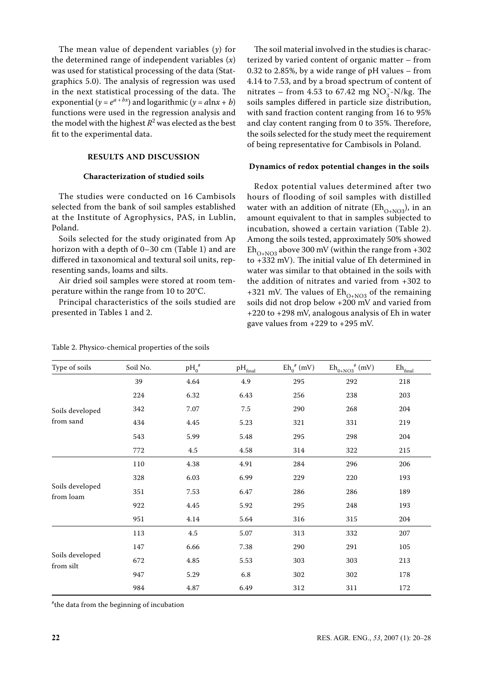The mean value of dependent variables (*y*) for the determined range of independent variables (*x*) was used for statistical processing of the data (Statgraphics 5.0). The analysis of regression was used in the next statistical processing of the data. The exponential ( $y = e^{a + bx}$ ) and logarithmic ( $y = a \ln x + b$ ) functions were used in the regression analysis and the model with the highest  $R^2$  was elected as the best fit to the experimental data.

# **results and Discussion**

### **Characterization of studied soils**

The studies were conducted on 16 Cambisols selected from the bank of soil samples established at the Institute of Agrophysics, PAS, in Lublin, Poland.

Soils selected for the study originated from Ap horizon with a depth of 0–30 cm (Table 1) and are differed in taxonomical and textural soil units, representing sands, loams and silts.

Air dried soil samples were stored at room temperature within the range from 10 to 20°C.

Principal characteristics of the soils studied are presented in Tables 1 and 2.

| Table 2. Physico-chemical properties of the soils |  |
|---------------------------------------------------|--|
|---------------------------------------------------|--|

The soil material involved in the studies is characterized by varied content of organic matter – from 0.32 to 2.85%, by a wide range of pH values – from 4.14 to 7.53, and by a broad spectrum of content of nitrates – from 4.53 to 67.42 mg  $NO_3^-$ -N/kg. The soils samples differed in particle size distribution, with sand fraction content ranging from 16 to 95% and clay content ranging from 0 to 35%. Therefore, the soils selected for the study meet the requirement of being representative for Cambisols in Poland.

#### **Dynamics of redox potential changes in the soils**

Redox potential values determined after two hours of flooding of soil samples with distilled water with an addition of nitrate ( $Eh_{O+NO3}$ ), in an amount equivalent to that in samples subjected to incubation, showed a certain variation (Table 2). Among the soils tested, approximately 50% showed  $\text{Eh}_{\text{O+NO3}}$  above 300 mV (within the range from +302 to +332 mV). The initial value of Eh determined in water was similar to that obtained in the soils with the addition of nitrates and varied from +302 to +321 mV. The values of  $\text{Eh}_{\text{O+NO3}}$  of the remaining soils did not drop below +200 mV and varied from +220 to +298 mV, analogous analysis of Eh in water gave values from +229 to +295 mV.

| Type of soils                | Soil No. | $pH_0^{\#}$ | $\rm pH_{final}$ | $Eh_0^{\#}(mV)$ | $\mathrm{Eh}_{0+\mathrm{NO3}}^{\phantom{+}}{}^{\#}(\mathrm{mV})$ | $\mathrm{Eh}_{\underline{\mathrm{final}}}$ |
|------------------------------|----------|-------------|------------------|-----------------|------------------------------------------------------------------|--------------------------------------------|
|                              | 39       | 4.64        | 4.9              | 295             | 292                                                              | 218                                        |
|                              | 224      | 6.32        | 6.43             | 256             | 238                                                              | 203                                        |
| Soils developed              | 342      | 7.07        | $7.5\,$          | 290             | 268                                                              | 204                                        |
| from sand                    | 434      | 4.45        | 5.23             | 321             | 331                                                              | 219                                        |
|                              | 543      | 5.99        | 5.48             | 295             | 298                                                              | 204                                        |
|                              | 772      | 4.5         | 4.58             | 314             | 322                                                              | 215                                        |
|                              | 110      | 4.38        | 4.91             | 284             | 296                                                              | 206                                        |
|                              | 328      | 6.03        | 6.99             | 229             | 220                                                              | 193                                        |
| Soils developed<br>from loam | 351      | 7.53        | 6.47             | 286             | 286                                                              | 189                                        |
|                              | 922      | 4.45        | 5.92             | 295             | 248                                                              | 193                                        |
|                              | 951      | 4.14        | 5.64             | 316             | 315                                                              | 204                                        |
|                              | 113      | 4.5         | 5.07             | 313             | 332                                                              | 207                                        |
|                              | 147      | 6.66        | 7.38             | 290             | 291                                                              | 105                                        |
| Soils developed<br>from silt | 672      | 4.85        | 5.53             | 303             | 303                                                              | 213                                        |
|                              | 947      | 5.29        | 6.8              | 302             | 302                                                              | 178                                        |
|                              | 984      | 4.87        | 6.49             | 312             | 311                                                              | 172                                        |

# the data from the beginning of incubation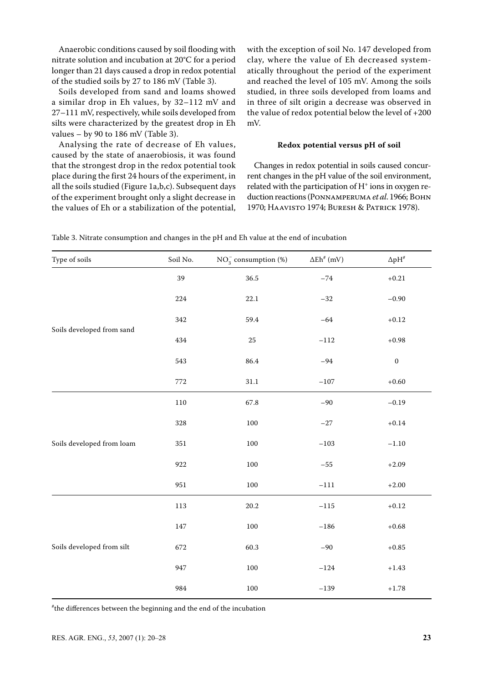Anaerobic conditions caused by soil flooding with nitrate solution and incubation at 20°C for a period longer than 21 days caused a drop in redox potential of the studied soils by 27 to 186 mV (Table 3).

Soils developed from sand and loams showed a similar drop in Eh values, by 32–112 mV and 27–111 mV, respectively, while soils developed from silts were characterized by the greatest drop in Eh values  $-$  by 90 to 186 mV (Table 3).

Analysing the rate of decrease of Eh values, caused by the state of anaerobiosis, it was found that the strongest drop in the redox potential took place during the first 24 hours of the experiment, in all the soils studied (Figure 1a,b,c). Subsequent days of the experiment brought only a slight decrease in the values of Eh or a stabilization of the potential, with the exception of soil No. 147 developed from clay, where the value of Eh decreased systematically throughout the period of the experiment and reached the level of 105 mV. Among the soils studied, in three soils developed from loams and in three of silt origin a decrease was observed in the value of redox potential below the level of +200 mV.

#### **Redox potential versus pH of soil**

Changes in redox potential in soils caused concurrent changes in the pH value of the soil environment, related with the participation of  $H^+$  ions in oxygen reduction reactions (Ponnamperuma *et al*. 1966; Bohn 1970; Haavisto 1974; Buresh & Patrick 1978).

| Type of soils             | Soil No. | $NO_3^-$ consumption (%) | $\Delta E h^{\#}$ (mV) | $\Delta\text{pH}^{\text{\#}}$ |
|---------------------------|----------|--------------------------|------------------------|-------------------------------|
|                           | 39       | 36.5                     | $-74\,$                | $+0.21\,$                     |
|                           | 224      | $22.1\,$                 | $-32\,$                | $-0.90$                       |
|                           | 342      | 59.4                     | $-64$                  | $+0.12$                       |
| Soils developed from sand | 434      | $25\,$                   | $-112$                 | $+0.98$                       |
|                           | 543      | 86.4                     | $-94$                  | $\boldsymbol{0}$              |
|                           | $772\,$  | $31.1\,$                 | $-107$                 | $+0.60$                       |
|                           | $110\,$  | 67.8                     | $-90$                  | $-0.19$                       |
|                           | 328      | 100                      | $-27\,$                | $+0.14\,$                     |
| Soils developed from loam | 351      | $100\,$                  | $-103$                 | $-1.10$                       |
|                           | 922      | $100\,$                  | $-55\,$                | $+2.09$                       |
|                           | 951      | $100\,$                  | $-111$                 | $+2.00$                       |
|                           | 113      | 20.2                     | $-115$                 | $+0.12$                       |
|                           | 147      | $100\,$                  | $-186$                 | $+0.68$                       |
| Soils developed from silt | 672      | 60.3                     | $-90$                  | $+0.85$                       |
|                           | 947      | $100\,$                  | $-124\,$               | $+1.43\,$                     |
|                           | 984      | $100\,$                  | $-139$                 | $+1.78\,$                     |

Table 3. Nitrate consumption and changes in the pH and Eh value at the end of incubation

# the differences between the beginning and the end of the incubation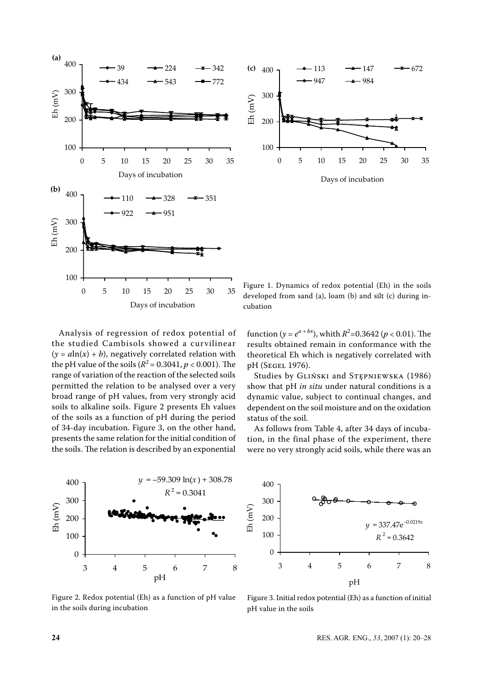



Days of incubation

Analysis of regression of redox potential of the studied Cambisols showed a curvilinear  $(y = a \ln(x) + b)$ , negatively correlated relation with the pH value of the soils ( $R^2 = 0.3041$ ,  $p < 0.001$ ). The range of variation of the reaction of the selected soils permitted the relation to be analysed over a very broad range of pH values, from very strongly acid soils to alkaline soils. Figure 2 presents Eh values of the soils as a function of pH during the period of 34-day incubation. Figure 3, on the other hand, presents the same relation for the initial condition of the soils. The relation is described by an exponential

Figure 1. Dynamics of redox potential (Eh) in the soils developed from sand (a), loam (b) and silt (c) during incubation

function (*y* =  $e^{a + bx}$ ), whith  $R^2$ =0.3642 (*p* < 0.01). The results obtained remain in conformance with the theoretical Eh which is negatively correlated with pH (Segel 1976).

Studies by Gliński and Stępniewska (1986) show that pH *in situ* under natural conditions is a dynamic value, subject to continual changes, and dependent on the soil moisture and on the oxidation status of the soil.

As follows from Table 4, after 34 days of incubation, in the final phase of the experiment, there were no very strongly acid soils, while there was an



Figure 2. Redox potential (Eh) as a function of pH value in the soils during incubation



Figure 3. Initial redox potential (Eh) as a function of initial pH value in the soils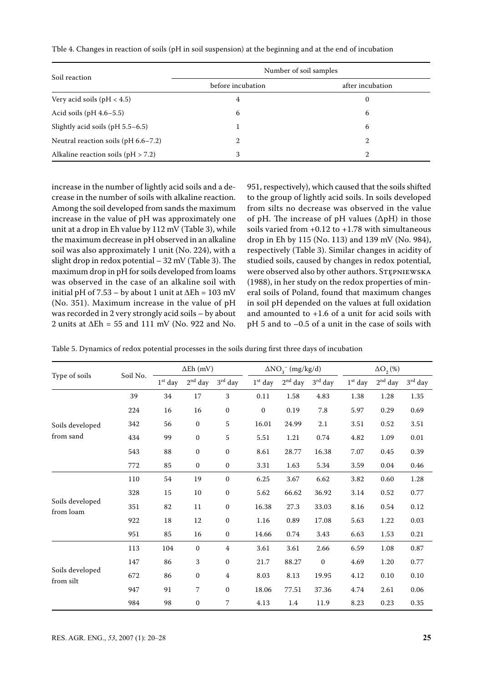| Soil reaction                          | Number of soil samples |                  |  |  |  |  |
|----------------------------------------|------------------------|------------------|--|--|--|--|
|                                        | before incubation      | after incubation |  |  |  |  |
| Very acid soils ( $pH < 4.5$ )         | 4                      | 0                |  |  |  |  |
| Acid soils $(pH 4.6-5.5)$              | 6                      | 6                |  |  |  |  |
| Slightly acid soils ( $pH$ 5.5–6.5)    |                        | 6                |  |  |  |  |
| Neutral reaction soils ( $pH$ 6.6–7.2) | 2                      | 2                |  |  |  |  |
| Alkaline reaction soils ( $pH > 7.2$ ) | 3                      | 2                |  |  |  |  |

Tble 4. Changes in reaction of soils (pH in soil suspension) at the beginning and at the end of incubation

increase in the number of lightly acid soils and a decrease in the number of soils with alkaline reaction. Among the soil developed from sands the maximum increase in the value of pH was approximately one unit at a drop in Eh value by 112 mV (Table 3), while the maximum decrease in pH observed in an alkaline soil was also approximately 1 unit (No. 224), with a slight drop in redox potential – 32 mV (Table 3). The maximum drop in pH for soils developed from loams was observed in the case of an alkaline soil with initial pH of 7.53 – by about 1 unit at ∆Eh = 103 mV (No. 351). Maximum increase in the value of pH was recorded in 2 very strongly acid soils – by about 2 units at  $\Delta$ Eh = 55 and 111 mV (No. 922 and No. 951, respectively), which caused that the soils shifted to the group of lightly acid soils. In soils developed from silts no decrease was observed in the value of pH. The increase of pH values (∆pH) in those soils varied from  $+0.12$  to  $+1.78$  with simultaneous drop in Eh by 115 (No. 113) and 139 mV (No. 984), respectively (Table 3). Similar changes in acidity of studied soils, caused by changes in redox potential, were observed also by other authors. STEPNIEWSKA (1988), in her study on the redox properties of mineral soils of Poland, found that maximum changes in soil pH depended on the values at full oxidation and amounted to +1.6 of a unit for acid soils with pH 5 and to –0.5 of a unit in the case of soils with

Table 5. Dynamics of redox potential processes in the soils during first three days of incubation

|                              | Soil No. | $\Delta$ Eh (mV) |                  | $\Delta NO_{3}^{-}$ (mg/kg/d) |              |           | $\Delta O$ <sub>2</sub> (%) |           |           |           |
|------------------------------|----------|------------------|------------------|-------------------------------|--------------|-----------|-----------------------------|-----------|-----------|-----------|
| Type of soils                |          | $1st$ day        | $2nd$ day        | $3rd$ day                     | $1st$ day    | $2nd$ day | $3rd$ day                   | $1st$ day | $2nd$ day | $3rd$ day |
|                              | 39       | 34               | 17               | 3                             | 0.11         | 1.58      | 4.83                        | 1.38      | 1.28      | 1.35      |
|                              | 224      | 16               | 16               | $\boldsymbol{0}$              | $\mathbf{0}$ | 0.19      | 7.8                         | 5.97      | 0.29      | 0.69      |
| Soils developed              | 342      | 56               | $\boldsymbol{0}$ | 5                             | 16.01        | 24.99     | 2.1                         | 3.51      | 0.52      | 3.51      |
| from sand                    | 434      | 99               | $\mathbf{0}$     | 5                             | 5.51         | 1.21      | 0.74                        | 4.82      | 1.09      | 0.01      |
|                              | 543      | 88               | $\mathbf{0}$     | $\boldsymbol{0}$              | 8.61         | 28.77     | 16.38                       | 7.07      | 0.45      | 0.39      |
|                              | 772      | 85               | $\mathbf{0}$     | $\mathbf{0}$                  | 3.31         | 1.63      | 5.34                        | 3.59      | 0.04      | 0.46      |
|                              | 110      | 54               | 19               | $\mathbf{0}$                  | 6.25         | 3.67      | 6.62                        | 3.82      | 0.60      | 1.28      |
|                              | 328      | 15               | 10               | $\mathbf{0}$                  | 5.62         | 66.62     | 36.92                       | 3.14      | 0.52      | 0.77      |
| Soils developed<br>from loam | 351      | 82               | 11               | $\mathbf{0}$                  | 16.38        | 27.3      | 33.03                       | 8.16      | 0.54      | 0.12      |
|                              | 922      | 18               | 12               | $\mathbf{0}$                  | 1.16         | 0.89      | 17.08                       | 5.63      | 1.22      | 0.03      |
|                              | 951      | 85               | 16               | $\mathbf{0}$                  | 14.66        | 0.74      | 3.43                        | 6.63      | 1.53      | 0.21      |
|                              | 113      | 104              | $\mathbf{0}$     | $\overline{4}$                | 3.61         | 3.61      | 2.66                        | 6.59      | 1.08      | 0.87      |
|                              | 147      | 86               | 3                | $\mathbf{0}$                  | 21.7         | 88.27     | $\mathbf{0}$                | 4.69      | 1.20      | 0.77      |
| Soils developed<br>from silt | 672      | 86               | $\mathbf{0}$     | 4                             | 8.03         | 8.13      | 19.95                       | 4.12      | 0.10      | 0.10      |
|                              | 947      | 91               | 7                | $\mathbf{0}$                  | 18.06        | 77.51     | 37.36                       | 4.74      | 2.61      | 0.06      |
|                              | 984      | 98               | $\mathbf{0}$     | 7                             | 4.13         | 1.4       | 11.9                        | 8.23      | 0.23      | 0.35      |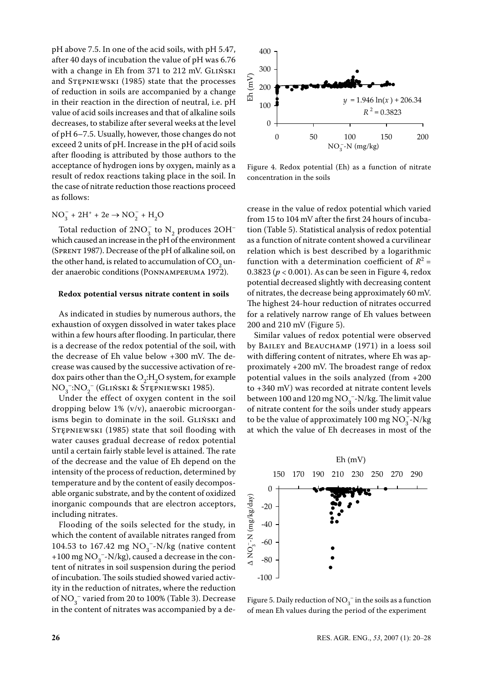pH above 7.5. In one of the acid soils, with pH 5.47, after 40 days of incubation the value of pH was 6.76 with a change in Eh from 371 to 212 mV. GLIŃSKI and Stępniewski (1985) state that the processes of reduction in soils are accompanied by a change in their reaction in the direction of neutral, i.e. pH value of acid soils increases and that of alkaline soils decreases, to stabilize after several weeks at the level of pH 6–7.5. Usually, however, those changes do not exceed 2 units of pH. Increase in the pH of acid soils after flooding is attributed by those authors to the acceptance of hydrogen ions by oxygen, mainly as a result of redox reactions taking place in the soil. In the case of nitrate reduction those reactions proceed as follows:

$$
NO_3^- + 2H^+ + 2e \rightarrow NO_2^- + H_2O
$$

Total reduction of  $2NO_3^-$  to  $N_2$  produces  $2OH^$ which caused an increase in the pH of the environment (Sprent 1987). Decrease of the pH of alkaline soil, on the other hand, is related to accumulation of  $\mathrm{CO}_2$  under anaerobic conditions (Ponnamperuma 1972).

#### **Redox potential versus nitrate content in soils**

As indicated in studies by numerous authors, the exhaustion of oxygen dissolved in water takes place within a few hours after flooding. In particular, there is a decrease of the redox potential of the soil, with the decrease of Eh value below +300 mV. The decrease was caused by the successive activation of redox pairs other than the  $O_2$ :H<sub>2</sub>O system, for example NO3 –:NO2 – (Gliński & Stępniewski 1985).

Under the effect of oxygen content in the soil dropping below 1% (v/v), anaerobic microorganisms begin to dominate in the soil. GLIŃSKI and Stępniewski (1985) state that soil flooding with water causes gradual decrease of redox potential until a certain fairly stable level is attained. The rate of the decrease and the value of Eh depend on the intensity of the process of reduction, determined by temperature and by the content of easily decomposable organic substrate, and by the content of oxidized inorganic compounds that are electron acceptors, including nitrates.

Flooding of the soils selected for the study, in which the content of available nitrates ranged from 104.53 to 167.42 mg  $NO_3^-$ -N/kg (native content +100 mg  $NO_3^-$ -N/kg), caused a decrease in the content of nitrates in soil suspension during the period of incubation. The soils studied showed varied activity in the reduction of nitrates, where the reduction of NO<sub>3</sub><sup>-</sup> varied from 20 to 100% (Table 3). Decrease in the content of nitrates was accompanied by a de-



Figure 4. Redox potential (Eh) as a function of nitrate concentration in the soils

crease in the value of redox potential which varied from 15 to 104 mV after the first 24 hours of incubation (Table 5). Statistical analysis of redox potential as a function of nitrate content showed a curvilinear relation which is best described by a logarithmic function with a determination coefficient of  $R^2$  = 0.3823 (*p* < 0.001). As can be seen in Figure 4, redox potential decreased slightly with decreasing content of nitrates, the decrease being approximately 60 mV. The highest 24-hour reduction of nitrates occurred for a relatively narrow range of Eh values between 200 and 210 mV (Figure 5).

Similar values of redox potential were observed by BAILEY and BEAUCHAMP (1971) in a loess soil with differing content of nitrates, where Eh was approximately +200 mV. The broadest range of redox potential values in the soils analyzed (from +200 to +340 mV) was recorded at nitrate content levels between 100 and 120 mg  $NO_3^-$ -N/kg. The limit value of nitrate content for the soils under study appears to be the value of approximately 100 mg  $NO_3^-$ -N/kg at which the value of Eh decreases in most of the



Figure 5. Daily reduction of  $\mathrm{NO}_3^-$  in the soils as a function of mean Eh values during the period of the experiment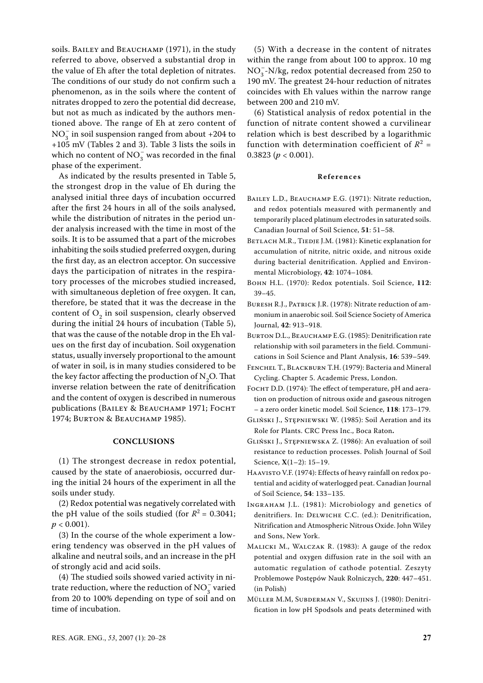soils. BAILEY and BEAUCHAMP (1971), in the study referred to above, observed a substantial drop in the value of Eh after the total depletion of nitrates. The conditions of our study do not confirm such a phenomenon, as in the soils where the content of nitrates dropped to zero the potential did decrease, but not as much as indicated by the authors mentioned above. The range of Eh at zero content of  $NO_3^-$  in soil suspension ranged from about +204 to +105 mV (Tables 2 and 3). Table 3 lists the soils in which no content of  $NO_3^-$  was recorded in the final phase of the experiment.

As indicated by the results presented in Table 5, the strongest drop in the value of Eh during the analysed initial three days of incubation occurred after the first 24 hours in all of the soils analysed, while the distribution of nitrates in the period under analysis increased with the time in most of the soils. It is to be assumed that a part of the microbes inhabiting the soils studied preferred oxygen, during the first day, as an electron acceptor. On successive days the participation of nitrates in the respiratory processes of the microbes studied increased, with simultaneous depletion of free oxygen. It can, therefore, be stated that it was the decrease in the content of  $O_2$  in soil suspension, clearly observed during the initial 24 hours of incubation (Table 5), that was the cause of the notable drop in the Eh values on the first day of incubation. Soil oxygenation status, usually inversely proportional to the amount of water in soil, is in many studies considered to be the key factor affecting the production of  $N_2O$ . That inverse relation between the rate of denitrification and the content of oxygen is described in numerous publications (BAILEY & BEAUCHAMP 1971; FOCHT 1974; Burton & Beauchamp 1985).

#### **Conclusions**

(1) The strongest decrease in redox potential, caused by the state of anaerobiosis, occurred during the initial 24 hours of the experiment in all the soils under study.

(2) Redox potential was negatively correlated with the pH value of the soils studied (for  $R^2 = 0.3041$ ;  $p < 0.001$ ).

(3) In the course of the whole experiment a lowering tendency was observed in the pH values of alkaline and neutral soils, and an increase in the pH of strongly acid and acid soils.

(4) The studied soils showed varied activity in nitrate reduction, where the reduction of  $NO_3^-$  varied from 20 to 100% depending on type of soil and on time of incubation.

(5) With a decrease in the content of nitrates within the range from about 100 to approx. 10 mg  $NO<sub>3</sub><sup>-</sup>N/kg$ , redox potential decreased from 250 to 190 mV. The greatest 24-hour reduction of nitrates coincides with Eh values within the narrow range between 200 and 210 mV.

(6) Statistical analysis of redox potential in the function of nitrate content showed a curvilinear relation which is best described by a logarithmic function with determination coefficient of  $R^2 =$ 0.3823 ( $p < 0.001$ ).

#### **R e f e r e n c e s**

- BAILEY L.D., BEAUCHAMP E.G. (1971): Nitrate reduction, and redox potentials measured with permanently and temporarily placed platinum electrodes in saturated soils. Canadian Journal of Soil Science, **51**: 51–58.
- BETLACH M.R., TIEDJE J.M. (1981): Kinetic explanation for accumulation of nitrite, nitric oxide, and nitrous oxide during bacterial denitrification. Applied and Environmental Microbiology, **42**: 1074–1084.
- Bohn H.L. (1970): Redox potentials. Soil Science, **112**: 39–45.
- BURESH R.J., PATRICK J.R. (1978): Nitrate reduction of ammonium in anaerobic soil. Soil Science Society of America Journal, **42**: 913–918.
- BURTON D.L., BEAUCHAMP E.G. (1985): Denitrification rate relationship with soil parameters in the field. Communications in Soil Science and Plant Analysis, **16**: 539–549.
- Fenchel T., Blackburn T.H. (1979): Bacteria and Mineral Cycling. Chapter 5. Academic Press, London.
- Focht D.D. (1974): The effect of temperature, pH and aeration on production of nitrous oxide and gaseous nitrogen – a zero order kinetic model. Soil Science, **118**: 173–179.
- Gliński J., Stępniewski W. (1985): Soil Aeration and its Role for Plants. CRC Press Inc., Boca Raton**.**
- Gliński J., Stępniewska Z. (1986): An evaluation of soil resistance to reduction processes. Polish Journal of Soil Science, **X**(1–2): 15–19.
- Haavisto V.F. (1974): Effects of heavy rainfall on redox potential and acidity of waterlogged peat. Canadian Journal of Soil Science, **54**: 133–135.
- Ingraham J.L. (1981): Microbiology and genetics of denitrifiers. In: Delwiche C.C. (ed.): Denitrification, Nitrification and Atmospheric Nitrous Oxide. John Wiley and Sons, New York.
- Malicki M., Walczak R. (1983): A gauge of the redox potential and oxygen diffusion rate in the soil with an automatic regulation of cathode potential. Zeszyty Problemowe Postępów Nauk Rolniczych, **220**: 447–451. (in Polish)
- Müller M.M, Subderman V., Skujins J. (1980): Denitrification in low pH Spodsols and peats determined with